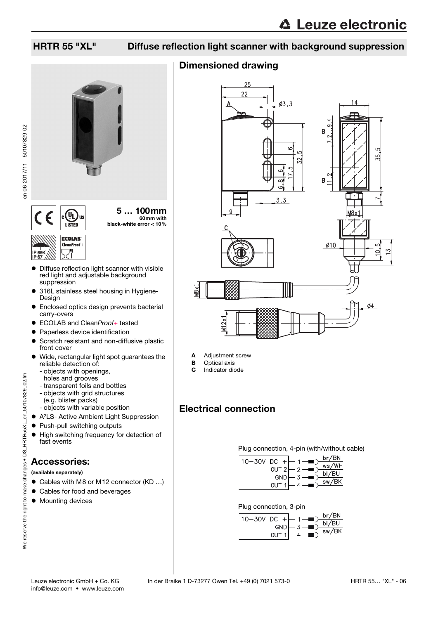## HRTR 55 "XL" Diffuse reflection light scanner with background suppression

## Dimensioned drawing



A Adjustment screw

- **B** Optical axis<br>**C** Indicator dio
- Indicator diode

## Electrical connection

Plug connection, 4-pin (with/without cable)

| $10 - 30V$ DC $+$ - | $\mathbf{A} = \mathbf{B}$ | br/BN                                |
|---------------------|---------------------------|--------------------------------------|
|                     | OUT $2 - 2$               | $\overline{\mathsf{ws}/\mathsf{WH}}$ |
|                     | $GND \leftarrow 3$        | bI/BU                                |
|                     |                           | $\overline{\text{sw/BK}}$            |

| 10-30V DC + $\leftarrow$ 1 - $\rightarrow$ br/BN |  |                |                        |
|--------------------------------------------------|--|----------------|------------------------|
|                                                  |  |                | $GND$ $-3$ $-6$ $D/BU$ |
|                                                  |  |                | sw/BK                  |
|                                                  |  | OUT $1 - 4 - $ |                        |



5 … 100mm 60mm with black-white error < 10%

#### **ECOLAB** CleanProof IP 69K IP 67

- Diffuse reflection light scanner with visible red light and adjustable background suppression
- 316L stainless steel housing in Hygiene-Design
- **•** Enclosed optics design prevents bacterial carry-overs
- ECOLAB and CleanProof+ tested
- **Paperless device identification**
- **•** Scratch resistant and non-diffusive plastic front cover
- Wide, rectangular light spot guarantees the reliable detection of:
	- objects with openings,
	- holes and grooves
	- transparent foils and bottles
	- objects with grid structures (e.g. blister packs)
	- objects with variable position
- A<sup>2</sup>LS- Active Ambient Light Suppression
- Push-pull switching outputs
- $\bullet$  High switching frequency for detection of fast events

## Accessories:

(available separately)

- Cables with M8 or M12 connector (KD ...)
- Cables for food and beverages
- $\bullet$  Mounting devices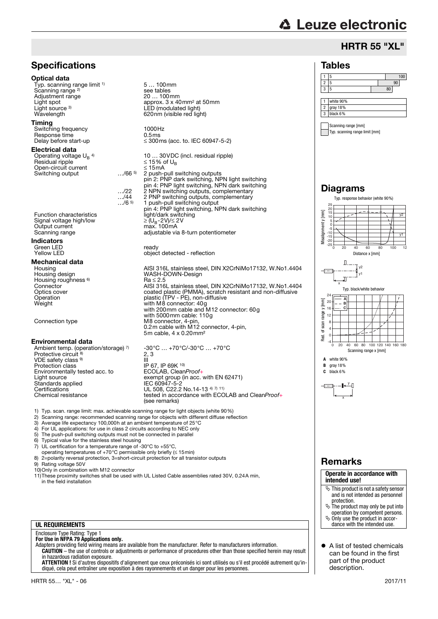# **△ Leuze electronic**

Tables

## HRTR 55 "XL"

1 5 100 2 5 90

## **Specifications**

#### Optical data

Typ. scanning range limit <sup>1)</sup> Scanning range<sup>2)</sup> Adjustment range<br>Light spot Light source <sup>3)</sup><br>Wavelength

### Timing

Switching frequency 1000Hz<br>
Besponse time 10.5ms Response time<br>Delay before start-up

#### Electrical data

Operating voltage  $U_B$ <sup>4)</sup><br>Besidual ripple Open-circuit current  $\leq 15 \text{ mA}$ <br>Switching output  $\therefore$  /66 <sup>5</sup>/8 push-position of the system of the system of the system of the system of the system of the system of the system of the system of the system of the system Switching output

Signal voltage high/low<br>Output current Current current max. 100mA<br>
Signal voltage high/low<br>
Output current max. 100mA<br>
Scanning range adjustable via 8

### Indicators

Green LED ready

**Mechanical data**<br>Housing<br>Housing design Housing roughness <sup>6)</sup><br>Connector

### Environmental data

Ambient temp. (operation/storage) 7) Protective circuit 8) VDE safety class 9) Protection class IP 67, IP 69K 10) Environmentally tested acc. to ECOLAB, CleanProof+<br>Light source exempt group (in acc. in Standards applied<br>Certifications Certifications UL 508, C22.2 No.14-13 4) 7) 11)

5 … 100mm see tables<br>20 ... 100mm approx.  $3 \times 40$ mm<sup>2</sup> at 50mm LED (modulated light) 620nm (visible red light)

 $\leq$  300ms (acc. to. IEC 60947-5-2)

Operating voltage U<sub>B</sub> <sup>4)</sup>  $10... 30 \text{VDC}$  (incl. residual ripple)<br>Residual ripple  $\leq 15\%$  of U<sub>B</sub> 2 push-pull switching outputs pin 2: PNP dark switching, NPN light switching pin 4: PNP light switching, NPN dark switching …/22 2 NPN switching outputs, complementary …/44 2 PNP switching outputs, complementary …/6 5) 1 push-pull switching output pin 4: PNP light switching, NPN dark switching Function characteristics light/dark switching

nium recenture adjustable via 8-turn potentiometer

object detected - reflection

AISI 316L stainless steel, DIN X2CrNiMo17132, W.No1.4404 WASH-DOWN-Design  $Ra \leq 2.5$ Connector AISI 316L stainless steel, DIN X2CrNiMo17132, W.No1.4404 Optics cover coated plastic (PMMA), scratch resistant and non-diffusive Operation plastic (TPV - PE), non-diffusive Weight with M8 connector: 40g with 200mm cable and M12 connector: 60g with 5000mm cable: 110g Connection type M8 connector, 4-pin, 0.2m cable with M12 connector, 4-pin, 5m cable, 4 x 0.20mm²

-30°C … +70°C/-30°C … +70°C 2, 3 L, U<br>III<br>IP 67, IP 69K <sup>10)</sup> Light source exempt group (in acc. with EN 62471) Chemical resistance tested in accordance with ECOLAB and CleanProof+ (see remarks)

- 1) Typ. scan. range limit: max. achievable scanning range for light objects (white 90%)
- 2) Scanning range: recommended scanning range for objects with different diffuse reflection<br>3) Average life expectancy 100.000h at an ambient temperature of 25 °C
- 3) Average life expectancy 100,000h at an ambient temperature of 25 °C<br>4) For UI applications: for use in class 2 circuits according to NEC only
- 4) For UL applications: for use in class 2 circuits according to NEC only<br>5) The push-pull switching outputs must not be connected in parallel

6) Typical value for the stainless steel housing

- 5) The push-pull switching outputs must not be connected in parallel<br>6) Typical value for the stainless steel housing<br>7) UL certification for a temperature range of -30 $^{\circ}$ C to +55 $^{\circ}$ C.
- 7) UL certification for a temperature range of -30°C to +55°C, operating temperatures of +70°C permissible only briefly (≤ 15min)
- 8) 2=polarity reversal protection, 3=short-circuit protection for all transistor outputs<br>9) Bating voltage 50V
- Rating voltage 50V

10)Only in combination with M12 connector

11)These proximity switches shall be used with UL Listed Cable assemblies rated 30V, 0.24A min, in the field installation

#### **UL REQUIREMENTS**

## Enclosure Type Rating: Type 1 **For Use in NFPA 79 Applications only.**

Adapters providing field wiring means are available from the manufacturer. Refer to manufacturers information. **CAUTION** – the use of controls or adjustments or performance of procedures other than those specified herein may result in hazardous radiation exposure.

**ATTENTION !** Si d'autres dispositifs d'alignement que ceux préconisés ici sont utilisés ou s'il est procédé autrement qu'indiqué, cela peut entraîner une exposition à des rayonnements et un danger pour les personnes.



## Remarks

**Operate in accordance with intended use!**

- $\&$  This product is not a safety sensor and is not intended as personnel protection.
- $\&$  The product may only be put into operation by competent persons. Only use the product in accor-
- dance with the intended use.
- A list of tested chemicals can be found in the first part of the product description.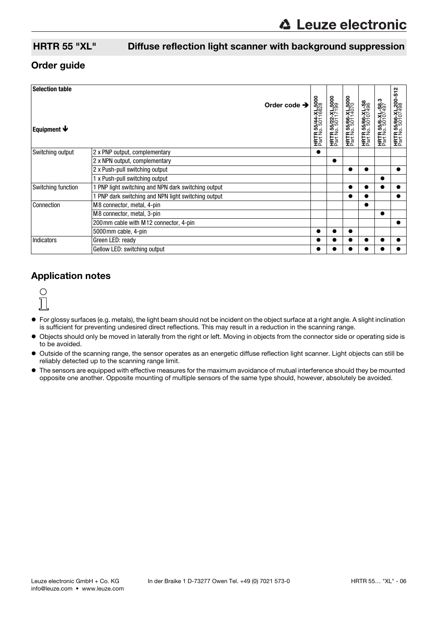## HRTR 55 "XL" Diffuse reflection light scanner with background suppression

## Order guide

| <b>Selection table</b>    |                                                   |                          |                                                |                                                |                                                |                                              |                                               | ີ<br><u>দৃ</u>                                |
|---------------------------|---------------------------------------------------|--------------------------|------------------------------------------------|------------------------------------------------|------------------------------------------------|----------------------------------------------|-----------------------------------------------|-----------------------------------------------|
| Equipment $\blacklozenge$ |                                                   | Order code $\rightarrow$ | <b>HRTR 55/44-XL,5000</b><br>Part No. 50116828 | <b>HRTR 55/22-XL,5000</b><br>Part No. 50117199 | <b>HRTR 55/66-XL,5000</b><br>Part No. 50114070 | <b>HRTR 55/66-XL-S8</b><br>Part No. 50107496 | <b>HRTR 55/6-XL-S8.3</b><br>Part No. 50107497 | <b>HRTR 55/66-XL,200</b><br>Part No. 50107498 |
| Switching output          | 2 x PNP output, complementary                     |                          |                                                |                                                |                                                |                                              |                                               |                                               |
|                           | 2 x NPN output, complementary                     |                          |                                                |                                                |                                                |                                              |                                               |                                               |
|                           | 2 x Push-pull switching output                    |                          |                                                |                                                |                                                |                                              |                                               |                                               |
|                           | 1 x Push-pull switching output                    |                          |                                                |                                                |                                                |                                              |                                               |                                               |
| Switching function        | PNP light switching and NPN dark switching output |                          |                                                |                                                | $\bullet$                                      |                                              |                                               |                                               |
|                           | PNP dark switching and NPN light switching output |                          |                                                |                                                |                                                |                                              |                                               |                                               |
| Connection                | M8 connector, metal, 4-pin                        |                          |                                                |                                                |                                                |                                              |                                               |                                               |
|                           | M8 connector, metal, 3-pin                        |                          |                                                |                                                |                                                |                                              | $\bullet$                                     |                                               |
|                           | 200 mm cable with M12 connector, 4-pin            |                          |                                                |                                                |                                                |                                              |                                               |                                               |
|                           | 5000mm cable, 4-pin                               |                          |                                                |                                                |                                                |                                              |                                               |                                               |
| <b>Indicators</b>         | Green LED: ready                                  |                          |                                                |                                                |                                                |                                              |                                               |                                               |
|                           | Gellow LED: switching output                      |                          |                                                |                                                |                                                |                                              |                                               |                                               |

## Application notes



- For glossy surfaces (e.g. metals), the light beam should not be incident on the object surface at a right angle. A slight inclination is sufficient for preventing undesired direct reflections. This may result in a reduction in the scanning range.
- Objects should only be moved in laterally from the right or left. Moving in objects from the connector side or operating side is to be avoided.
- Outside of the scanning range, the sensor operates as an energetic diffuse reflection light scanner. Light objects can still be reliably detected up to the scanning range limit.
- The sensors are equipped with effective measures for the maximum avoidance of mutual interference should they be mounted opposite one another. Opposite mounting of multiple sensors of the same type should, however, absolutely be avoided.